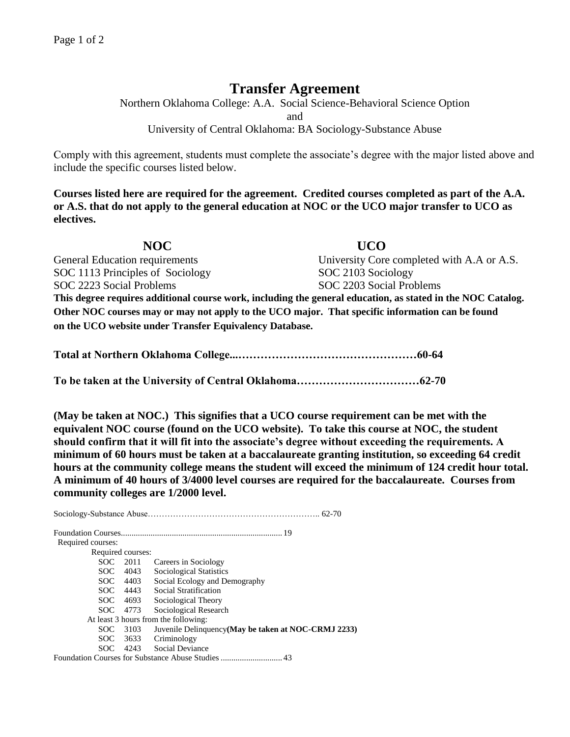## **Transfer Agreement**

Northern Oklahoma College: A.A. Social Science-Behavioral Science Option and University of Central Oklahoma: BA Sociology-Substance Abuse

Comply with this agreement, students must complete the associate's degree with the major listed above and include the specific courses listed below.

**Courses listed here are required for the agreement. Credited courses completed as part of the A.A. or A.S. that do not apply to the general education at NOC or the UCO major transfer to UCO as electives.**

**NOC UCO**  General Education requirements University Core completed with A.A or A.S. SOC 1113 Principles of Sociology SOC 2103 Sociology SOC 2223 Social Problems SOC 2203 Social Problems **This degree requires additional course work, including the general education, as stated in the NOC Catalog. Other NOC courses may or may not apply to the UCO major. That specific information can be found on the UCO website under Transfer Equivalency Database.**

**Total at Northern Oklahoma College...…………………………………………60-64**

**To be taken at the University of Central Oklahoma……………………………62-70**

**(May be taken at NOC.) This signifies that a UCO course requirement can be met with the equivalent NOC course (found on the UCO website). To take this course at NOC, the student should confirm that it will fit into the associate's degree without exceeding the requirements. A minimum of 60 hours must be taken at a baccalaureate granting institution, so exceeding 64 credit hours at the community college means the student will exceed the minimum of 124 credit hour total. A minimum of 40 hours of 3/4000 level courses are required for the baccalaureate. Courses from community colleges are 1/2000 level.**

Sociology-Substance Abuse…………………………………………………….. 62-70 Foundation Courses............................................................................ 19 Required courses: Required courses: SOC 2011 Careers in Sociology SOC 4043 Sociological Statistics<br>SOC 4403 Social Ecology and De Social Ecology and Demography SOC 4443 Social Stratification SOC 4693 Sociological Theory SOC 4773 Sociological Research At least 3 hours from the following: SOC 3103 Juvenile Delinquency**(May be taken at NOC-CRMJ 2233)** SOC 3633 Criminology SOC 4243 Social Deviance

Foundation Courses for Substance Abuse Studies ............................. 43